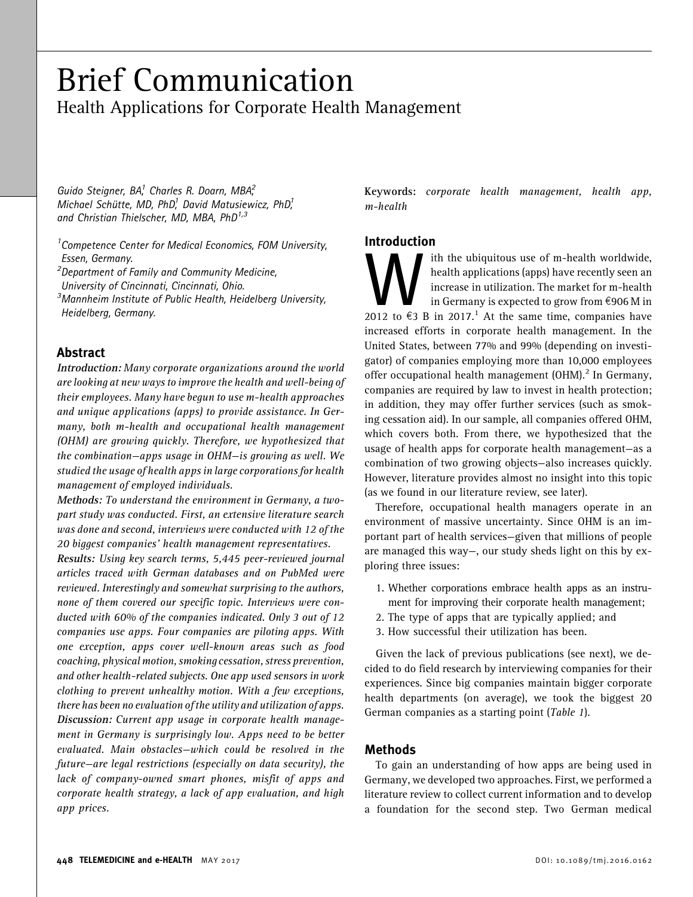# Brief Communication Health Applications for Corporate Health Management

Guido Steigner, BA,<sup>1</sup> Charles R. Doarn, MBA,<sup>2</sup> Michael Schütte, MD, PhD,<sup>1</sup> David Matusiewicz, PhD,<sup>1</sup> and Christian Thielscher, MD, MBA,  $PhD^{1,3}$ 

<sup>1</sup> Competence Center for Medical Economics, FOM University, Essen, Germany. <sup>2</sup> Department of Family and Community Medicine, University of Cincinnati, Cincinnati, Ohio. <sup>3</sup>Mannheim Institute of Public Health, Heidelberg University, Heidelberg, Germany.

# Abstract

Introduction: Many corporate organizations around the world are looking at new ways to improve the health and well-being of their employees. Many have begun to use m-health approaches and unique applications (apps) to provide assistance. In Germany, both m-health and occupational health management (OHM) are growing quickly. Therefore, we hypothesized that the combination—apps usage in OHM—is growing as well. We studied the usage of health apps in large corporations for health management of employed individuals.

Methods: To understand the environment in Germany, a twopart study was conducted. First, an extensive literature search was done and second, interviews were conducted with 12 of the 20 biggest companies' health management representatives.

Results: Using key search terms, 5,445 peer-reviewed journal articles traced with German databases and on PubMed were reviewed. Interestingly and somewhat surprising to the authors, none of them covered our specific topic. Interviews were conducted with 60% of the companies indicated. Only 3 out of 12 companies use apps. Four companies are piloting apps. With one exception, apps cover well-known areas such as food coaching, physical motion, smoking cessation, stress prevention, and other health-related subjects. One app used sensors in work clothing to prevent unhealthy motion. With a few exceptions, there has been no evaluation of the utility and utilization of apps. Discussion: Current app usage in corporate health management in Germany is surprisingly low. Apps need to be better evaluated. Main obstacles—which could be resolved in the future—are legal restrictions (especially on data security), the lack of company-owned smart phones, misfit of apps and corporate health strategy, a lack of app evaluation, and high app prices.

Keywords: corporate health management, health app, m-health

## Introduction

With the ubiquitous use of m-health worldwide,<br>
health applications (apps) have recently seen an<br>
increase in utilization. The market for m-health<br>
in Germany is expected to grow from  $\epsilon$ 906 M in<br>
2012 to  $\epsilon$ 3 B in 2017. health applications (apps) have recently seen an increase in utilization. The market for m-health in Germany is expected to grow from  $\epsilon$ 906 M in increased efforts in corporate health management. In the United States, between 77% and 99% (depending on investigator) of companies employing more than 10,000 employees offer occupational health management  $(OHM)<sup>2</sup>$  In Germany, companies are required by law to invest in health protection; in addition, they may offer further services (such as smoking cessation aid). In our sample, all companies offered OHM, which covers both. From there, we hypothesized that the usage of health apps for corporate health management—as a combination of two growing objects—also increases quickly. However, literature provides almost no insight into this topic (as we found in our literature review, see later).

Therefore, occupational health managers operate in an environment of massive uncertainty. Since OHM is an important part of health services—given that millions of people are managed this way—, our study sheds light on this by exploring three issues:

- 1. Whether corporations embrace health apps as an instrument for improving their corporate health management;
- 2. The type of apps that are typically applied; and
- 3. How successful their utilization has been.

Given the lack of previous publications (see next), we decided to do field research by interviewing companies for their experiences. Since big companies maintain bigger corporate health departments (on average), we took the biggest 20 German companies as a starting point (Table 1).

## Methods

To gain an understanding of how apps are being used in Germany, we developed two approaches. First, we performed a literature review to collect current information and to develop a foundation for the second step. Two German medical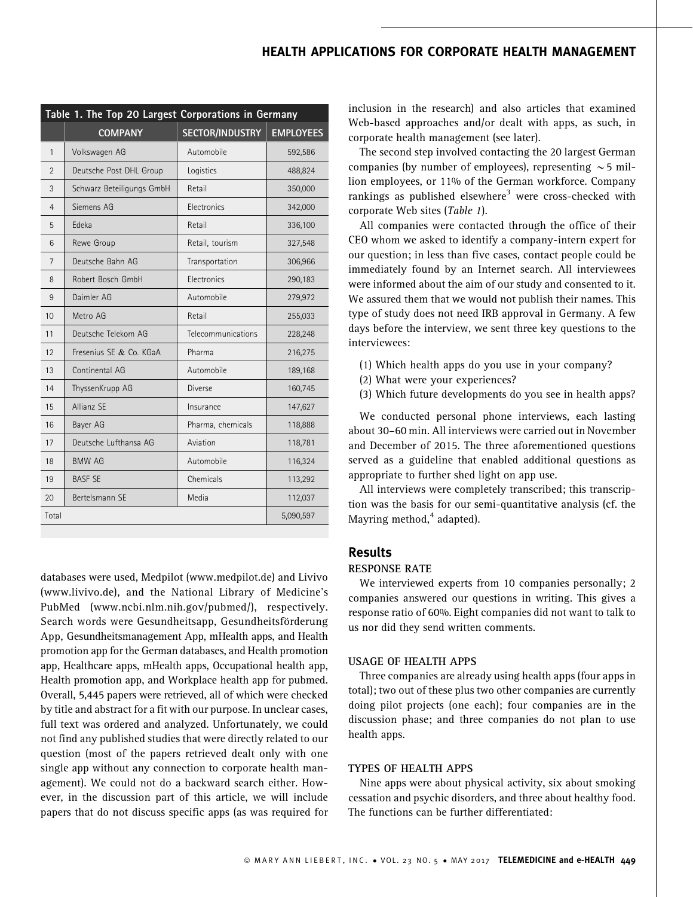# HEALTH APPLICATIONS FOR CORPORATE HEALTH MANAGEMENT

| Table 1. The Top 20 Largest Corporations in Germany |                           |                        |                  |
|-----------------------------------------------------|---------------------------|------------------------|------------------|
|                                                     | <b>COMPANY</b>            | <b>SECTOR/INDUSTRY</b> | <b>EMPLOYEES</b> |
| 1                                                   | Volkswagen AG             | Automobile             | 592,586          |
| $\overline{2}$                                      | Deutsche Post DHL Group   | Logistics              | 488,824          |
| 3                                                   | Schwarz Beteiligungs GmbH | Retail                 | 350,000          |
| 4                                                   | Siemens AG                | Electronics            | 342,000          |
| 5                                                   | Edeka                     | Retail                 | 336,100          |
| 6                                                   | Rewe Group                | Retail, tourism        | 327,548          |
| 7                                                   | Deutsche Bahn AG          | Transportation         | 306,966          |
| 8                                                   | Robert Bosch GmbH         | Electronics            | 290,183          |
| 9                                                   | Daimler AG                | Automobile             | 279,972          |
| 10                                                  | Metro AG                  | Retail                 | 255,033          |
| 11                                                  | Deutsche Telekom AG       | Telecommunications     | 228,248          |
| 12                                                  | Fresenius SE & Co. KGaA   | Pharma                 | 216,275          |
| 13                                                  | Continental AG            | Automobile             | 189,168          |
| 14                                                  | ThyssenKrupp AG           | Diverse                | 160,745          |
| 15                                                  | Allianz SE                | Insurance              | 147,627          |
| 16                                                  | Bayer AG                  | Pharma, chemicals      | 118,888          |
| 17                                                  | Deutsche Lufthansa AG     | Aviation               | 118,781          |
| 18                                                  | <b>BMW AG</b>             | Automobile             | 116,324          |
| 19                                                  | <b>BASE SE</b>            | Chemicals              | 113,292          |
| 20                                                  | Bertelsmann SE            | Media                  | 112,037          |
| Total                                               |                           |                        | 5,090,597        |

databases were used, Medpilot (www.medpilot.de) and Livivo (www.livivo.de), and the National Library of Medicine's PubMed (www.ncbi.nlm.nih.gov/pubmed/), respectively. Search words were Gesundheitsapp, Gesundheitsförderung App, Gesundheitsmanagement App, mHealth apps, and Health promotion app for the German databases, and Health promotion app, Healthcare apps, mHealth apps, Occupational health app, Health promotion app, and Workplace health app for pubmed. Overall, 5,445 papers were retrieved, all of which were checked by title and abstract for a fit with our purpose. In unclear cases, full text was ordered and analyzed. Unfortunately, we could not find any published studies that were directly related to our question (most of the papers retrieved dealt only with one single app without any connection to corporate health management). We could not do a backward search either. However, in the discussion part of this article, we will include papers that do not discuss specific apps (as was required for inclusion in the research) and also articles that examined Web-based approaches and/or dealt with apps, as such, in corporate health management (see later).

The second step involved contacting the 20 largest German companies (by number of employees), representing  $\sim$  5 million employees, or 11% of the German workforce. Company rankings as published elsewhere<sup>3</sup> were cross-checked with corporate Web sites (Table 1).

All companies were contacted through the office of their CEO whom we asked to identify a company-intern expert for our question; in less than five cases, contact people could be immediately found by an Internet search. All interviewees were informed about the aim of our study and consented to it. We assured them that we would not publish their names. This type of study does not need IRB approval in Germany. A few days before the interview, we sent three key questions to the interviewees:

- (1) Which health apps do you use in your company?
- (2) What were your experiences?
- (3) Which future developments do you see in health apps?

We conducted personal phone interviews, each lasting about 30–60 min. All interviews were carried out in November and December of 2015. The three aforementioned questions served as a guideline that enabled additional questions as appropriate to further shed light on app use.

All interviews were completely transcribed; this transcription was the basis for our semi-quantitative analysis (cf. the Mayring method, $4$  adapted).

## Results

## RESPONSE RATE

We interviewed experts from 10 companies personally; 2 companies answered our questions in writing. This gives a response ratio of 60%. Eight companies did not want to talk to us nor did they send written comments.

#### USAGE OF HEALTH APPS

Three companies are already using health apps (four apps in total); two out of these plus two other companies are currently doing pilot projects (one each); four companies are in the discussion phase; and three companies do not plan to use health apps.

#### TYPES OF HEALTH APPS

Nine apps were about physical activity, six about smoking cessation and psychic disorders, and three about healthy food. The functions can be further differentiated: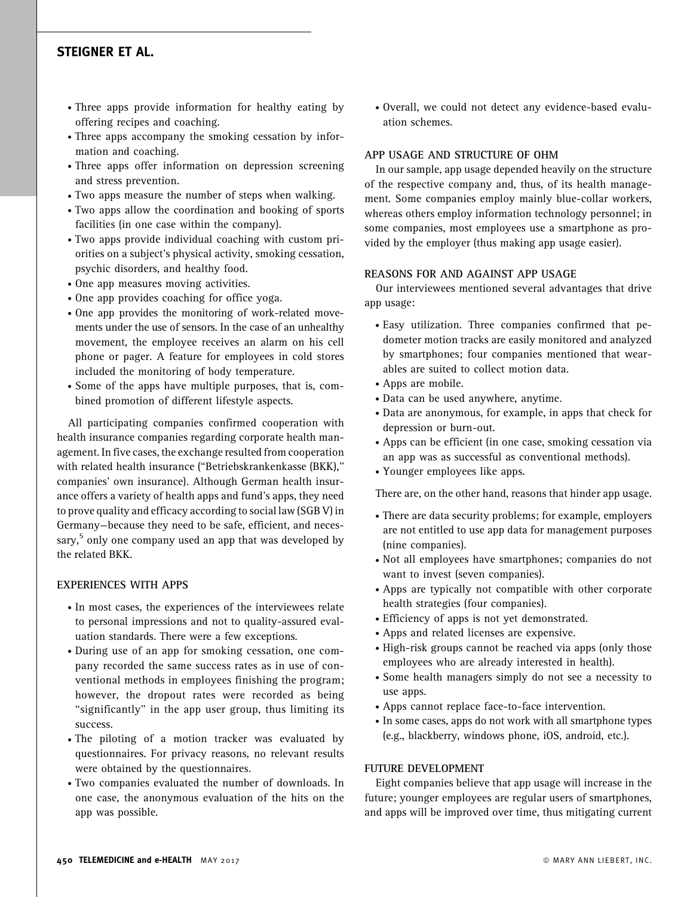## STEIGNER ET AL.

- . Three apps provide information for healthy eating by offering recipes and coaching.
- . Three apps accompany the smoking cessation by information and coaching.
- . Three apps offer information on depression screening and stress prevention.
- . Two apps measure the number of steps when walking.
- . Two apps allow the coordination and booking of sports facilities (in one case within the company).
- . Two apps provide individual coaching with custom priorities on a subject's physical activity, smoking cessation, psychic disorders, and healthy food.
- . One app measures moving activities.
- . One app provides coaching for office yoga.
- . One app provides the monitoring of work-related movements under the use of sensors. In the case of an unhealthy movement, the employee receives an alarm on his cell phone or pager. A feature for employees in cold stores included the monitoring of body temperature.
- . Some of the apps have multiple purposes, that is, combined promotion of different lifestyle aspects.

All participating companies confirmed cooperation with health insurance companies regarding corporate health management. In five cases, the exchange resulted from cooperation with related health insurance (''Betriebskrankenkasse (BKK),'' companies' own insurance). Although German health insurance offers a variety of health apps and fund's apps, they need to prove quality and efficacy according to social law (SGB V) in Germany—because they need to be safe, efficient, and necessary,<sup>5</sup> only one company used an app that was developed by the related BKK.

## EXPERIENCES WITH APPS

- . In most cases, the experiences of the interviewees relate to personal impressions and not to quality-assured evaluation standards. There were a few exceptions.
- . During use of an app for smoking cessation, one company recorded the same success rates as in use of conventional methods in employees finishing the program; however, the dropout rates were recorded as being ''significantly'' in the app user group, thus limiting its success.
- . The piloting of a motion tracker was evaluated by questionnaires. For privacy reasons, no relevant results were obtained by the questionnaires.
- . Two companies evaluated the number of downloads. In one case, the anonymous evaluation of the hits on the app was possible.

. Overall, we could not detect any evidence-based evaluation schemes.

#### APP USAGE AND STRUCTURE OF OHM

In our sample, app usage depended heavily on the structure of the respective company and, thus, of its health management. Some companies employ mainly blue-collar workers, whereas others employ information technology personnel; in some companies, most employees use a smartphone as provided by the employer (thus making app usage easier).

#### REASONS FOR AND AGAINST APP USAGE

Our interviewees mentioned several advantages that drive app usage:

- . Easy utilization. Three companies confirmed that pedometer motion tracks are easily monitored and analyzed by smartphones; four companies mentioned that wearables are suited to collect motion data.
- . Apps are mobile.
- . Data can be used anywhere, anytime.
- . Data are anonymous, for example, in apps that check for depression or burn-out.
- . Apps can be efficient (in one case, smoking cessation via an app was as successful as conventional methods).
- . Younger employees like apps.

There are, on the other hand, reasons that hinder app usage.

- . There are data security problems; for example, employers are not entitled to use app data for management purposes (nine companies).
- . Not all employees have smartphones; companies do not want to invest (seven companies).
- . Apps are typically not compatible with other corporate health strategies (four companies).
- . Efficiency of apps is not yet demonstrated.
- . Apps and related licenses are expensive.
- . High-risk groups cannot be reached via apps (only those employees who are already interested in health).
- . Some health managers simply do not see a necessity to use apps.
- . Apps cannot replace face-to-face intervention.
- . In some cases, apps do not work with all smartphone types (e.g., blackberry, windows phone, iOS, android, etc.).

#### FUTURE DEVELOPMENT

Eight companies believe that app usage will increase in the future; younger employees are regular users of smartphones, and apps will be improved over time, thus mitigating current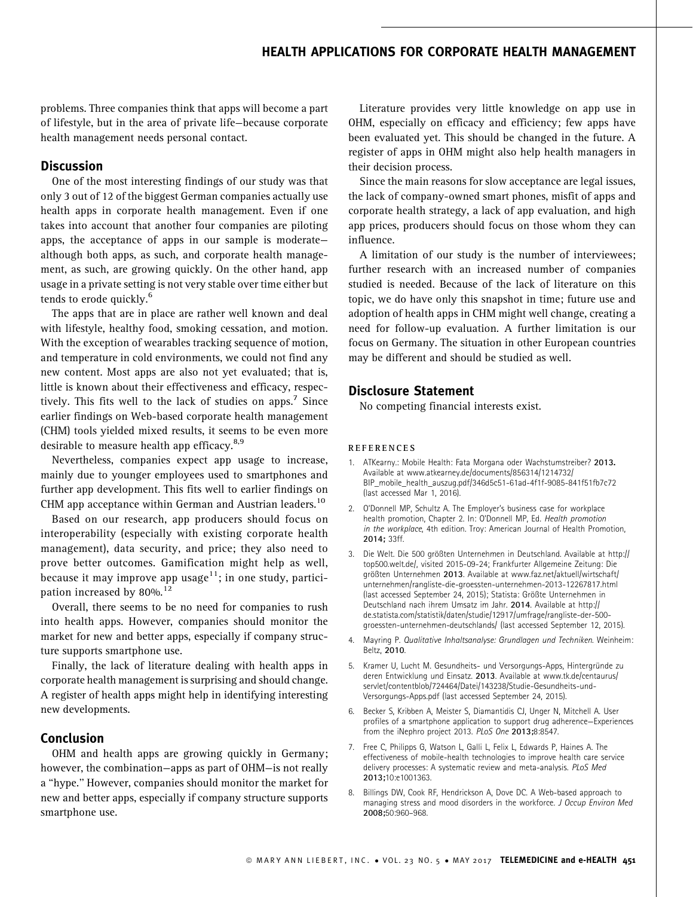## HEALTH APPLICATIONS FOR CORPORATE HEALTH MANAGEMENT

problems. Three companies think that apps will become a part of lifestyle, but in the area of private life—because corporate health management needs personal contact.

### **Discussion**

One of the most interesting findings of our study was that only 3 out of 12 of the biggest German companies actually use health apps in corporate health management. Even if one takes into account that another four companies are piloting apps, the acceptance of apps in our sample is moderate although both apps, as such, and corporate health management, as such, are growing quickly. On the other hand, app usage in a private setting is not very stable over time either but tends to erode quickly.<sup>6</sup>

The apps that are in place are rather well known and deal with lifestyle, healthy food, smoking cessation, and motion. With the exception of wearables tracking sequence of motion, and temperature in cold environments, we could not find any new content. Most apps are also not yet evaluated; that is, little is known about their effectiveness and efficacy, respectively. This fits well to the lack of studies on apps. $\frac{7}{1}$  Since earlier findings on Web-based corporate health management (CHM) tools yielded mixed results, it seems to be even more desirable to measure health app efficacy.<sup>8,9</sup>

Nevertheless, companies expect app usage to increase, mainly due to younger employees used to smartphones and further app development. This fits well to earlier findings on CHM app acceptance within German and Austrian leaders.<sup>10</sup>

Based on our research, app producers should focus on interoperability (especially with existing corporate health management), data security, and price; they also need to prove better outcomes. Gamification might help as well, because it may improve app usage<sup>11</sup>; in one study, participation increased by 80%.<sup>12</sup>

Overall, there seems to be no need for companies to rush into health apps. However, companies should monitor the market for new and better apps, especially if company structure supports smartphone use.

Finally, the lack of literature dealing with health apps in corporate health management is surprising and should change. A register of health apps might help in identifying interesting new developments.

## Conclusion

OHM and health apps are growing quickly in Germany; however, the combination—apps as part of OHM—is not really a ''hype.'' However, companies should monitor the market for new and better apps, especially if company structure supports smartphone use.

Literature provides very little knowledge on app use in OHM, especially on efficacy and efficiency; few apps have been evaluated yet. This should be changed in the future. A register of apps in OHM might also help health managers in their decision process.

Since the main reasons for slow acceptance are legal issues, the lack of company-owned smart phones, misfit of apps and corporate health strategy, a lack of app evaluation, and high app prices, producers should focus on those whom they can influence.

A limitation of our study is the number of interviewees; further research with an increased number of companies studied is needed. Because of the lack of literature on this topic, we do have only this snapshot in time; future use and adoption of health apps in CHM might well change, creating a need for follow-up evaluation. A further limitation is our focus on Germany. The situation in other European countries may be different and should be studied as well.

## Disclosure Statement

No competing financial interests exist.

#### REFERENCES

- 1. ATKearny.: Mobile Health: Fata Morgana oder Wachstumstreiber? 2013. Available at www.atkearney.de/documents/856314/1214732/ BIP\_mobile\_health\_auszug.pdf/346d5c51-61ad-4f1f-9085-841f51fb7c72 (last accessed Mar 1, 2016).
- 2. O'Donnell MP, Schultz A. The Employer's business case for workplace health promotion, Chapter 2. In: O'Donnell MP, Ed. Health promotion in the workplace, 4th edition. Troy: American Journal of Health Promotion, 2014; 33ff.
- 3. Die Welt. Die 500 größten Unternehmen in Deutschland. Available at http:// top500.welt.de/, visited 2015-09-24; Frankfurter Allgemeine Zeitung: Die größten Unternehmen 2013. Available at www.faz.net/aktuell/wirtschaft/ unternehmen/rangliste-die-groessten-unternehmen-2013-12267817.html (last accessed September 24, 2015); Statista: Größte Unternehmen in Deutschland nach ihrem Umsatz im Jahr. 2014. Available at http:// de.statista.com/statistik/daten/studie/12917/umfrage/rangliste-der-500 groessten-unternehmen-deutschlands/ (last accessed September 12, 2015).
- 4. Mayring P. Qualitative Inhaltsanalyse: Grundlagen und Techniken. Weinheim: Beltz, 2010.
- 5. Kramer U, Lucht M. Gesundheits- und Versorgungs-Apps, Hintergründe zu deren Entwicklung und Einsatz. 2013. Available at www.tk.de/centaurus/ servlet/contentblob/724464/Datei/143238/Studie-Gesundheits-und-Versorgungs-Apps.pdf (last accessed September 24, 2015).
- 6. Becker S, Kribben A, Meister S, Diamantidis CJ, Unger N, Mitchell A. User profiles of a smartphone application to support drug adherence—Experiences from the iNephro project 2013. PLoS One 2013;8:8547.
- 7. Free C, Philipps G, Watson L, Galli L, Felix L, Edwards P, Haines A. The effectiveness of mobile-health technologies to improve health care service delivery processes: A systematic review and meta-analysis. PLoS Med 2013;10:e1001363.
- 8. Billings DW, Cook RF, Hendrickson A, Dove DC. A Web-based approach to managing stress and mood disorders in the workforce. J Occup Environ Med 2008;50:960–968.